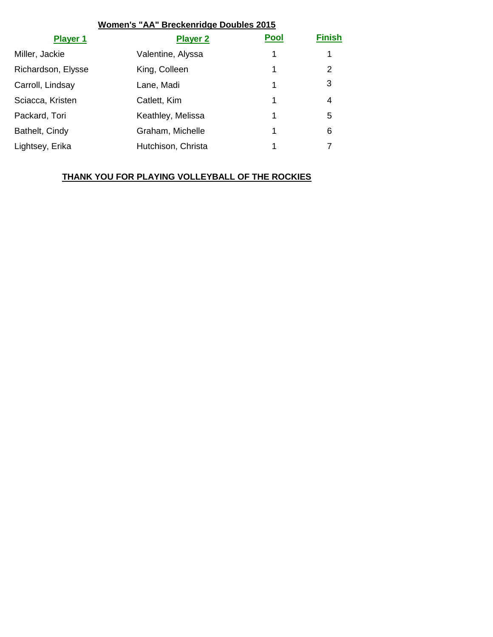### **Women's "AA" Breckenridge Doubles 2015**

| <b>Player 1</b>    | <b>Player 2</b>    | <b>Pool</b> | <b>Finish</b> |
|--------------------|--------------------|-------------|---------------|
| Miller, Jackie     | Valentine, Alyssa  | 1           | 1             |
| Richardson, Elysse | King, Colleen      | 1           | 2             |
| Carroll, Lindsay   | Lane, Madi         | 1           | 3             |
| Sciacca, Kristen   | Catlett, Kim       | 1           | 4             |
| Packard, Tori      | Keathley, Melissa  | 1           | 5             |
| Bathelt, Cindy     | Graham, Michelle   | 1           | 6             |
| Lightsey, Erika    | Hutchison, Christa |             |               |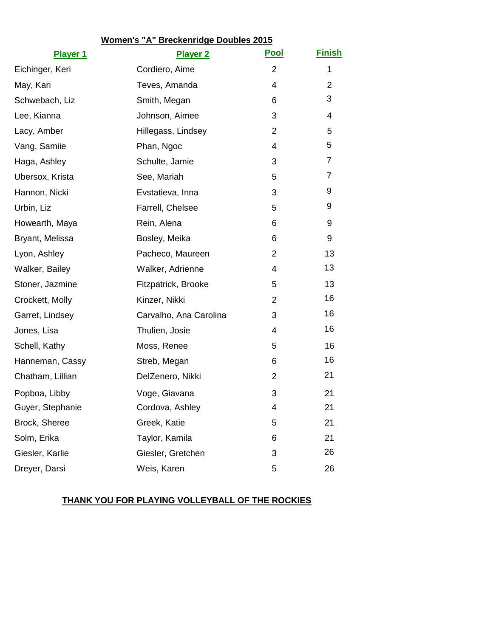# **Women's "A" Breckenridge Doubles 2015**

| <b>Player 1</b>  | <b>Player 2</b>        | <u>Pool</u>    | <u>Finish</u>  |
|------------------|------------------------|----------------|----------------|
| Eichinger, Keri  | Cordiero, Aime         | $\overline{2}$ | 1              |
| May, Kari        | Teves, Amanda          | 4              | $\overline{2}$ |
| Schwebach, Liz   | Smith, Megan           | 6              | 3              |
| Lee, Kianna      | Johnson, Aimee         | 3              | 4              |
| Lacy, Amber      | Hillegass, Lindsey     | 2              | 5              |
| Vang, Samiie     | Phan, Ngoc             | 4              | 5              |
| Haga, Ashley     | Schulte, Jamie         | 3              | 7              |
| Ubersox, Krista  | See, Mariah            | 5              | 7              |
| Hannon, Nicki    | Evstatieva, Inna       | 3              | 9              |
| Urbin, Liz       | Farrell, Chelsee       | 5              | 9              |
| Howearth, Maya   | Rein, Alena            | 6              | 9              |
| Bryant, Melissa  | Bosley, Meika          | 6              | 9              |
| Lyon, Ashley     | Pacheco, Maureen       | $\overline{2}$ | 13             |
| Walker, Bailey   | Walker, Adrienne       | 4              | 13             |
| Stoner, Jazmine  | Fitzpatrick, Brooke    | 5              | 13             |
| Crockett, Molly  | Kinzer, Nikki          | 2              | 16             |
| Garret, Lindsey  | Carvalho, Ana Carolina | 3              | 16             |
| Jones, Lisa      | Thulien, Josie         | 4              | 16             |
| Schell, Kathy    | Moss, Renee            | 5              | 16             |
| Hanneman, Cassy  | Streb, Megan           | 6              | 16             |
| Chatham, Lillian | DelZenero, Nikki       | 2              | 21             |
| Popboa, Libby    | Voge, Giavana          | 3              | 21             |
| Guyer, Stephanie | Cordova, Ashley        | 4              | 21             |
| Brock, Sheree    | Greek, Katie           | 5              | 21             |
| Solm, Erika      | Taylor, Kamila         | 6              | 21             |
| Giesler, Karlie  | Giesler, Gretchen      | 3              | 26             |
| Dreyer, Darsi    | Weis, Karen            | 5              | 26             |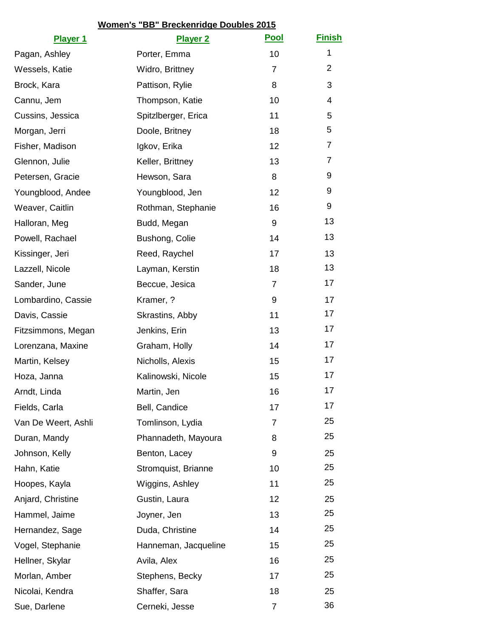# **Women's "BB" Breckenridge Doubles 2015**

| <b>Player 1</b>     | <b>Player 2</b>      | <b>Pool</b>    | <b>Finish</b>  |
|---------------------|----------------------|----------------|----------------|
| Pagan, Ashley       | Porter, Emma         | 10             | $\mathbf 1$    |
| Wessels, Katie      | Widro, Brittney      | $\overline{7}$ | $\overline{2}$ |
| Brock, Kara         | Pattison, Rylie      | 8              | 3              |
| Cannu, Jem          | Thompson, Katie      | 10             | 4              |
| Cussins, Jessica    | SpitzIberger, Erica  | 11             | 5              |
| Morgan, Jerri       | Doole, Britney       | 18             | 5              |
| Fisher, Madison     | Igkov, Erika         | 12             | 7              |
| Glennon, Julie      | Keller, Brittney     | 13             | $\overline{7}$ |
| Petersen, Gracie    | Hewson, Sara         | 8              | 9              |
| Youngblood, Andee   | Youngblood, Jen      | 12             | 9              |
| Weaver, Caitlin     | Rothman, Stephanie   | 16             | 9              |
| Halloran, Meg       | Budd, Megan          | 9              | 13             |
| Powell, Rachael     | Bushong, Colie       | 14             | 13             |
| Kissinger, Jeri     | Reed, Raychel        | 17             | 13             |
| Lazzell, Nicole     | Layman, Kerstin      | 18             | 13             |
| Sander, June        | Beccue, Jesica       | $\overline{7}$ | 17             |
| Lombardino, Cassie  | Kramer, ?            | 9              | 17             |
| Davis, Cassie       | Skrastins, Abby      | 11             | 17             |
| Fitzsimmons, Megan  | Jenkins, Erin        | 13             | 17             |
| Lorenzana, Maxine   | Graham, Holly        | 14             | 17             |
| Martin, Kelsey      | Nicholls, Alexis     | 15             | 17             |
| Hoza, Janna         | Kalinowski, Nicole   | 15             | 17             |
| Arndt, Linda        | Martin, Jen          | 16             | 17             |
| Fields, Carla       | Bell, Candice        | 17             | 17             |
| Van De Weert, Ashli | Tomlinson, Lydia     | 7              | 25             |
| Duran, Mandy        | Phannadeth, Mayoura  | 8              | 25             |
| Johnson, Kelly      | Benton, Lacey        | 9              | 25             |
| Hahn, Katie         | Stromquist, Brianne  | 10             | 25             |
| Hoopes, Kayla       | Wiggins, Ashley      | 11             | 25             |
| Anjard, Christine   | Gustin, Laura        | 12             | 25             |
| Hammel, Jaime       | Joyner, Jen          | 13             | 25             |
| Hernandez, Sage     | Duda, Christine      | 14             | 25             |
| Vogel, Stephanie    | Hanneman, Jacqueline | 15             | 25             |
| Hellner, Skylar     | Avila, Alex          | 16             | 25             |
| Morlan, Amber       | Stephens, Becky      | 17             | 25             |
| Nicolai, Kendra     | Shaffer, Sara        | 18             | 25             |
| Sue, Darlene        | Cerneki, Jesse       | 7              | 36             |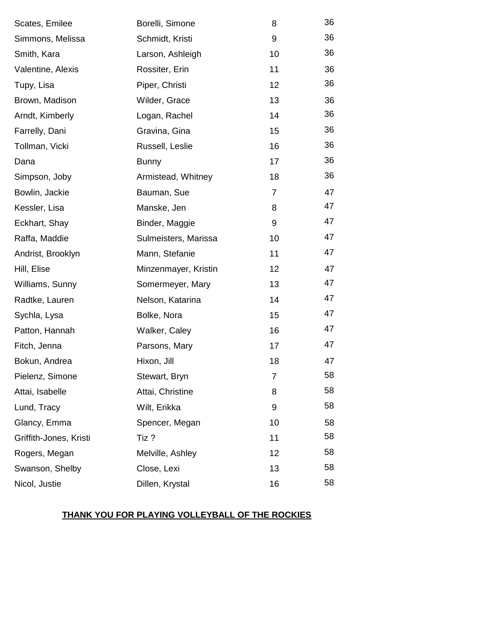| Scates, Emilee         | Borelli, Simone      | 8  | 36 |
|------------------------|----------------------|----|----|
| Simmons, Melissa       | Schmidt, Kristi      | 9  | 36 |
| Smith, Kara            | Larson, Ashleigh     | 10 | 36 |
| Valentine, Alexis      | Rossiter, Erin       | 11 | 36 |
| Tupy, Lisa             | Piper, Christi       | 12 | 36 |
| Brown, Madison         | Wilder, Grace        | 13 | 36 |
| Arndt, Kimberly        | Logan, Rachel        | 14 | 36 |
| Farrelly, Dani         | Gravina, Gina        | 15 | 36 |
| Tollman, Vicki         | Russell, Leslie      | 16 | 36 |
| Dana                   | <b>Bunny</b>         | 17 | 36 |
| Simpson, Joby          | Armistead, Whitney   | 18 | 36 |
| Bowlin, Jackie         | Bauman, Sue          | 7  | 47 |
| Kessler, Lisa          | Manske, Jen          | 8  | 47 |
| Eckhart, Shay          | Binder, Maggie       | 9  | 47 |
| Raffa, Maddie          | Sulmeisters, Marissa | 10 | 47 |
| Andrist, Brooklyn      | Mann, Stefanie       | 11 | 47 |
| Hill, Elise            | Minzenmayer, Kristin | 12 | 47 |
| Williams, Sunny        | Somermeyer, Mary     | 13 | 47 |
| Radtke, Lauren         | Nelson, Katarina     | 14 | 47 |
| Sychla, Lysa           | Bolke, Nora          | 15 | 47 |
| Patton, Hannah         | Walker, Caley        | 16 | 47 |
| Fitch, Jenna           | Parsons, Mary        | 17 | 47 |
| Bokun, Andrea          | Hixon, Jill          | 18 | 47 |
| Pielenz, Simone        | Stewart, Bryn        | 7  | 58 |
| Attai, Isabelle        | Attai, Christine     | 8  | 58 |
| Lund, Tracy            | Wilt, Erikka         | 9  | 58 |
| Glancy, Emma           | Spencer, Megan       | 10 | 58 |
| Griffith-Jones, Kristi | Tiz?                 | 11 | 58 |
| Rogers, Megan          | Melville, Ashley     | 12 | 58 |
| Swanson, Shelby        | Close, Lexi          | 13 | 58 |
| Nicol, Justie          | Dillen, Krystal      | 16 | 58 |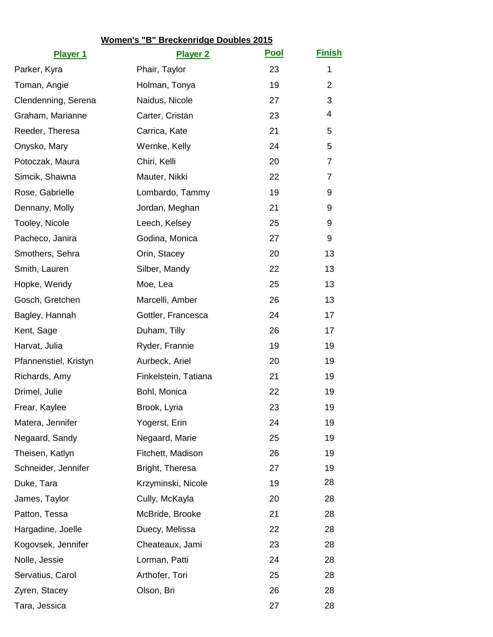| <b>Player 1</b>       | <b>Player 2</b>      | <b>Pool</b> | <b>Finish</b>  |
|-----------------------|----------------------|-------------|----------------|
| Parker, Kyra          | Phair, Taylor        | 23          | 1              |
| Toman, Angie          | Holman, Tonya        | 19          | $\overline{2}$ |
| Clendenning, Serena   | Naidus, Nicole       | 27          | 3              |
| Graham, Marianne      | Carter, Cristan      | 23          | 4              |
| Reeder, Theresa       | Carrica, Kate        | 21          | 5              |
| Onysko, Mary          | Wernke, Kelly        | 24          | 5              |
| Potoczak, Maura       | Chiri, Kelli         | 20          | 7              |
| Simcik, Shawna        | Mauter, Nikki        | 22          | 7              |
| Rose, Gabrielle       | Lombardo, Tammy      | 19          | 9              |
| Dennany, Molly        | Jordan, Meghan       | 21          | 9              |
| Tooley, Nicole        | Leech, Kelsey        | 25          | 9              |
| Pacheco, Janira       | Godina, Monica       | 27          | 9              |
| Smothers, Sehra       | Orin, Stacey         | 20          | 13             |
| Smith, Lauren         | Silber, Mandy        | 22          | 13             |
| Hopke, Wendy          | Moe, Lea             | 25          | 13             |
| Gosch, Gretchen       | Marcelli, Amber      | 26          | 13             |
| Bagley, Hannah        | Gottler, Francesca   | 24          | 17             |
| Kent, Sage            | Duham, Tilly         | 26          | 17             |
| Harvat, Julia         | Ryder, Frannie       | 19          | 19             |
| Pfannenstiel, Kristyn | Aurbeck, Ariel       | 20          | 19             |
| Richards, Amy         | Finkelstein, Tatiana | 21          | 19             |
| Drimel, Julie         | Bohl, Monica         | 22          | 19             |
| Frear, Kaylee         | Brook, Lyria         | 23          | 19             |
| Matera, Jennifer      | Yogerst, Erin        | 24          | 19             |
| Negaard, Sandy        | Negaard, Marie       | 25          | 19             |
| Theisen, Katlyn       | Fitchett, Madison    | 26          | 19             |
| Schneider, Jennifer   | Bright, Theresa      | 27          | 19             |
| Duke, Tara            | Krzyminski, Nicole   | 19          | 28             |
| James, Taylor         | Cully, McKayla       | 20          | 28             |
| Patton, Tessa         | McBride, Brooke      | 21          | 28             |
| Hargadine, Joelle     | Duecy, Melissa       | 22          | 28             |
| Kogovsek, Jennifer    | Cheateaux, Jami      | 23          | 28             |
| Nolle, Jessie         | Lorman, Patti        | 24          | 28             |
| Servatius, Carol      | Arthofer, Tori       | 25          | 28             |
| Zyren, Stacey         | Olson, Bri           | 26          | 28             |
| Tara, Jessica         |                      | 27          | 28             |

# **Women's "B" Breckenridge Doubles 2015**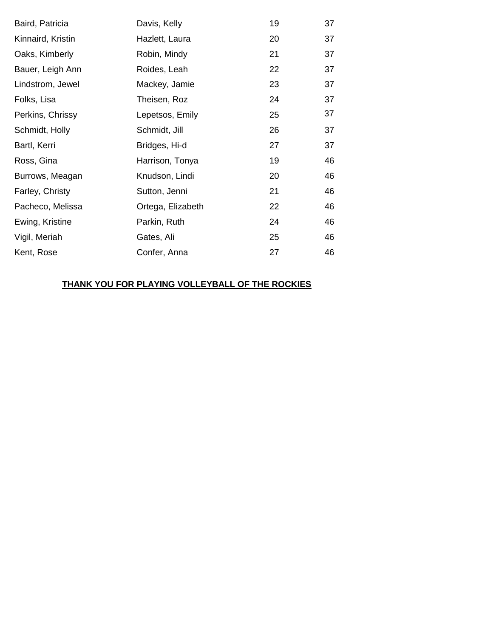| Baird, Patricia   | Davis, Kelly      | 19 | 37 |
|-------------------|-------------------|----|----|
| Kinnaird, Kristin | Hazlett, Laura    | 20 | 37 |
| Oaks, Kimberly    | Robin, Mindy      | 21 | 37 |
| Bauer, Leigh Ann  | Roides, Leah      | 22 | 37 |
| Lindstrom, Jewel  | Mackey, Jamie     | 23 | 37 |
| Folks, Lisa       | Theisen, Roz      | 24 | 37 |
| Perkins, Chrissy  | Lepetsos, Emily   | 25 | 37 |
| Schmidt, Holly    | Schmidt, Jill     | 26 | 37 |
| Bartl, Kerri      | Bridges, Hi-d     | 27 | 37 |
| Ross, Gina        | Harrison, Tonya   | 19 | 46 |
| Burrows, Meagan   | Knudson, Lindi    | 20 | 46 |
| Farley, Christy   | Sutton, Jenni     | 21 | 46 |
| Pacheco, Melissa  | Ortega, Elizabeth | 22 | 46 |
| Ewing, Kristine   | Parkin, Ruth      | 24 | 46 |
| Vigil, Meriah     | Gates, Ali        | 25 | 46 |
| Kent, Rose        | Confer, Anna      | 27 | 46 |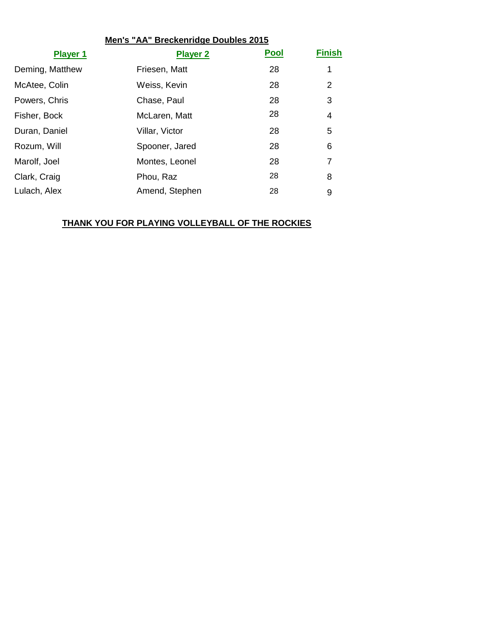| Men's "AA" Breckenridge Doubles 2015 |                 |             |                |
|--------------------------------------|-----------------|-------------|----------------|
| <b>Player 1</b>                      | <b>Player 2</b> | <b>Pool</b> | <b>Finish</b>  |
| Deming, Matthew                      | Friesen, Matt   | 28          | 1              |
| McAtee, Colin                        | Weiss, Kevin    | 28          | $\overline{2}$ |
| Powers, Chris                        | Chase, Paul     | 28          | 3              |
| Fisher, Bock                         | McLaren, Matt   | 28          | 4              |
| Duran, Daniel                        | Villar, Victor  | 28          | 5              |
| Rozum, Will                          | Spooner, Jared  | 28          | 6              |
| Marolf, Joel                         | Montes, Leonel  | 28          | 7              |
| Clark, Craig                         | Phou, Raz       | 28          | 8              |
| Lulach, Alex                         | Amend, Stephen  | 28          | 9              |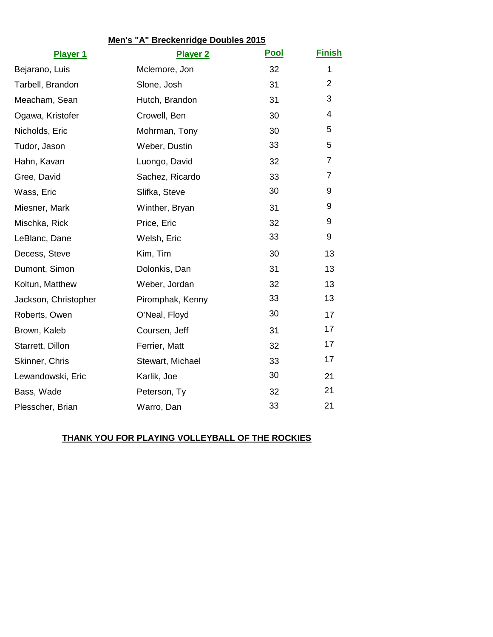| Men's "A" Breckenridge Doubles 2015 |                  |             |               |  |
|-------------------------------------|------------------|-------------|---------------|--|
| <b>Player 1</b>                     | <b>Player 2</b>  | <b>Pool</b> | <b>Finish</b> |  |
| Bejarano, Luis                      | Mclemore, Jon    | 32          | $\mathbf 1$   |  |
| Tarbell, Brandon                    | Slone, Josh      | 31          | 2             |  |
| Meacham, Sean                       | Hutch, Brandon   | 31          | 3             |  |
| Ogawa, Kristofer                    | Crowell, Ben     | 30          | 4             |  |
| Nicholds, Eric                      | Mohrman, Tony    | 30          | 5             |  |
| Tudor, Jason                        | Weber, Dustin    | 33          | 5             |  |
| Hahn, Kavan                         | Luongo, David    | 32          | 7             |  |
| Gree, David                         | Sachez, Ricardo  | 33          | 7             |  |
| Wass, Eric                          | Slifka, Steve    | 30          | 9             |  |
| Miesner, Mark                       | Winther, Bryan   | 31          | 9             |  |
| Mischka, Rick                       | Price, Eric      | 32          | 9             |  |
| LeBlanc, Dane                       | Welsh, Eric      | 33          | 9             |  |
| Decess, Steve                       | Kim, Tim         | 30          | 13            |  |
| Dumont, Simon                       | Dolonkis, Dan    | 31          | 13            |  |
| Koltun, Matthew                     | Weber, Jordan    | 32          | 13            |  |
| Jackson, Christopher                | Piromphak, Kenny | 33          | 13            |  |
| Roberts, Owen                       | O'Neal, Floyd    | 30          | 17            |  |
| Brown, Kaleb                        | Coursen, Jeff    | 31          | 17            |  |
| Starrett, Dillon                    | Ferrier, Matt    | 32          | 17            |  |
| Skinner, Chris                      | Stewart, Michael | 33          | 17            |  |
| Lewandowski, Eric                   | Karlik, Joe      | 30          | 21            |  |
| Bass, Wade                          | Peterson, Ty     | 32          | 21            |  |
| Plesscher, Brian                    | Warro, Dan       | 33          | 21            |  |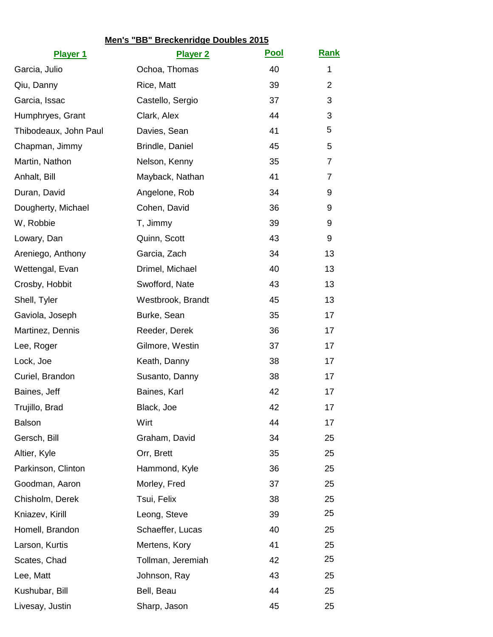| Ochoa, Thomas<br>40<br>1<br>Garcia, Julio<br>39<br>$\overline{2}$<br>Qiu, Danny<br>Rice, Matt<br>37<br>Garcia, Issac<br>Castello, Sergio<br>3<br>Humphryes, Grant<br>Clark, Alex<br>44<br>3<br>5<br>41<br>Thibodeaux, John Paul<br>Davies, Sean<br>Chapman, Jimmy<br>Brindle, Daniel<br>45<br>5<br>Martin, Nathon<br>Nelson, Kenny<br>35<br>7<br>41<br>Mayback, Nathan<br>Anhalt, Bill<br>7<br>Duran, David<br>Angelone, Rob<br>34<br>9<br>36<br>Dougherty, Michael<br>Cohen, David<br>9<br>W, Robbie<br>T, Jimmy<br>39<br>9<br>43<br>Quinn, Scott<br>Lowary, Dan<br>9<br>Areniego, Anthony<br>Garcia, Zach<br>34<br>13<br>13<br>Wettengal, Evan<br>Drimel, Michael<br>40<br>43<br>Crosby, Hobbit<br>Swofford, Nate<br>13<br>Shell, Tyler<br>Westbrook, Brandt<br>45<br>13<br>35<br>Gaviola, Joseph<br>Burke, Sean<br>17<br>Martinez, Dennis<br>Reeder, Derek<br>36<br>17<br>Gilmore, Westin<br>37<br>17<br>Lee, Roger<br>38<br>Lock, Joe<br>Keath, Danny<br>17<br>Curiel, Brandon<br>38<br>Susanto, Danny<br>17<br>42<br>Baines, Jeff<br>Baines, Karl<br>17<br>42<br>Trujillo, Brad<br>17<br>Black, Joe<br>44<br>Wirt<br><b>Balson</b><br>17<br>Gersch, Bill<br>Graham, David<br>34<br>25<br>Altier, Kyle<br>Orr, Brett<br>35<br>25<br>Parkinson, Clinton<br>Hammond, Kyle<br>36<br>25<br>Morley, Fred<br>Goodman, Aaron<br>37<br>25<br>Chisholm, Derek<br>Tsui, Felix<br>38<br>25<br>25<br>Kniazev, Kirill<br>39<br>Leong, Steve<br>Homell, Brandon<br>Schaeffer, Lucas<br>40<br>25<br>Larson, Kurtis<br>Mertens, Kory<br>41<br>25<br>25<br>42<br>Scates, Chad<br>Tollman, Jeremiah<br>43<br>Lee, Matt<br>Johnson, Ray<br>25<br>Kushubar, Bill<br>Bell, Beau<br>44<br>25<br>Livesay, Justin<br>Sharp, Jason<br>45<br>25 | Men's "BB" Breckenridge Doubles 2015<br><b>Rank</b><br><u>Pool</u> |                 |  |  |  |  |
|---------------------------------------------------------------------------------------------------------------------------------------------------------------------------------------------------------------------------------------------------------------------------------------------------------------------------------------------------------------------------------------------------------------------------------------------------------------------------------------------------------------------------------------------------------------------------------------------------------------------------------------------------------------------------------------------------------------------------------------------------------------------------------------------------------------------------------------------------------------------------------------------------------------------------------------------------------------------------------------------------------------------------------------------------------------------------------------------------------------------------------------------------------------------------------------------------------------------------------------------------------------------------------------------------------------------------------------------------------------------------------------------------------------------------------------------------------------------------------------------------------------------------------------------------------------------------------------------------------------------------------------------------------------------------------------------------------------------------|--------------------------------------------------------------------|-----------------|--|--|--|--|
|                                                                                                                                                                                                                                                                                                                                                                                                                                                                                                                                                                                                                                                                                                                                                                                                                                                                                                                                                                                                                                                                                                                                                                                                                                                                                                                                                                                                                                                                                                                                                                                                                                                                                                                           | <b>Player 1</b>                                                    | <b>Player 2</b> |  |  |  |  |
|                                                                                                                                                                                                                                                                                                                                                                                                                                                                                                                                                                                                                                                                                                                                                                                                                                                                                                                                                                                                                                                                                                                                                                                                                                                                                                                                                                                                                                                                                                                                                                                                                                                                                                                           |                                                                    |                 |  |  |  |  |
|                                                                                                                                                                                                                                                                                                                                                                                                                                                                                                                                                                                                                                                                                                                                                                                                                                                                                                                                                                                                                                                                                                                                                                                                                                                                                                                                                                                                                                                                                                                                                                                                                                                                                                                           |                                                                    |                 |  |  |  |  |
|                                                                                                                                                                                                                                                                                                                                                                                                                                                                                                                                                                                                                                                                                                                                                                                                                                                                                                                                                                                                                                                                                                                                                                                                                                                                                                                                                                                                                                                                                                                                                                                                                                                                                                                           |                                                                    |                 |  |  |  |  |
|                                                                                                                                                                                                                                                                                                                                                                                                                                                                                                                                                                                                                                                                                                                                                                                                                                                                                                                                                                                                                                                                                                                                                                                                                                                                                                                                                                                                                                                                                                                                                                                                                                                                                                                           |                                                                    |                 |  |  |  |  |
|                                                                                                                                                                                                                                                                                                                                                                                                                                                                                                                                                                                                                                                                                                                                                                                                                                                                                                                                                                                                                                                                                                                                                                                                                                                                                                                                                                                                                                                                                                                                                                                                                                                                                                                           |                                                                    |                 |  |  |  |  |
|                                                                                                                                                                                                                                                                                                                                                                                                                                                                                                                                                                                                                                                                                                                                                                                                                                                                                                                                                                                                                                                                                                                                                                                                                                                                                                                                                                                                                                                                                                                                                                                                                                                                                                                           |                                                                    |                 |  |  |  |  |
|                                                                                                                                                                                                                                                                                                                                                                                                                                                                                                                                                                                                                                                                                                                                                                                                                                                                                                                                                                                                                                                                                                                                                                                                                                                                                                                                                                                                                                                                                                                                                                                                                                                                                                                           |                                                                    |                 |  |  |  |  |
|                                                                                                                                                                                                                                                                                                                                                                                                                                                                                                                                                                                                                                                                                                                                                                                                                                                                                                                                                                                                                                                                                                                                                                                                                                                                                                                                                                                                                                                                                                                                                                                                                                                                                                                           |                                                                    |                 |  |  |  |  |
|                                                                                                                                                                                                                                                                                                                                                                                                                                                                                                                                                                                                                                                                                                                                                                                                                                                                                                                                                                                                                                                                                                                                                                                                                                                                                                                                                                                                                                                                                                                                                                                                                                                                                                                           |                                                                    |                 |  |  |  |  |
|                                                                                                                                                                                                                                                                                                                                                                                                                                                                                                                                                                                                                                                                                                                                                                                                                                                                                                                                                                                                                                                                                                                                                                                                                                                                                                                                                                                                                                                                                                                                                                                                                                                                                                                           |                                                                    |                 |  |  |  |  |
|                                                                                                                                                                                                                                                                                                                                                                                                                                                                                                                                                                                                                                                                                                                                                                                                                                                                                                                                                                                                                                                                                                                                                                                                                                                                                                                                                                                                                                                                                                                                                                                                                                                                                                                           |                                                                    |                 |  |  |  |  |
|                                                                                                                                                                                                                                                                                                                                                                                                                                                                                                                                                                                                                                                                                                                                                                                                                                                                                                                                                                                                                                                                                                                                                                                                                                                                                                                                                                                                                                                                                                                                                                                                                                                                                                                           |                                                                    |                 |  |  |  |  |
|                                                                                                                                                                                                                                                                                                                                                                                                                                                                                                                                                                                                                                                                                                                                                                                                                                                                                                                                                                                                                                                                                                                                                                                                                                                                                                                                                                                                                                                                                                                                                                                                                                                                                                                           |                                                                    |                 |  |  |  |  |
|                                                                                                                                                                                                                                                                                                                                                                                                                                                                                                                                                                                                                                                                                                                                                                                                                                                                                                                                                                                                                                                                                                                                                                                                                                                                                                                                                                                                                                                                                                                                                                                                                                                                                                                           |                                                                    |                 |  |  |  |  |
|                                                                                                                                                                                                                                                                                                                                                                                                                                                                                                                                                                                                                                                                                                                                                                                                                                                                                                                                                                                                                                                                                                                                                                                                                                                                                                                                                                                                                                                                                                                                                                                                                                                                                                                           |                                                                    |                 |  |  |  |  |
|                                                                                                                                                                                                                                                                                                                                                                                                                                                                                                                                                                                                                                                                                                                                                                                                                                                                                                                                                                                                                                                                                                                                                                                                                                                                                                                                                                                                                                                                                                                                                                                                                                                                                                                           |                                                                    |                 |  |  |  |  |
|                                                                                                                                                                                                                                                                                                                                                                                                                                                                                                                                                                                                                                                                                                                                                                                                                                                                                                                                                                                                                                                                                                                                                                                                                                                                                                                                                                                                                                                                                                                                                                                                                                                                                                                           |                                                                    |                 |  |  |  |  |
|                                                                                                                                                                                                                                                                                                                                                                                                                                                                                                                                                                                                                                                                                                                                                                                                                                                                                                                                                                                                                                                                                                                                                                                                                                                                                                                                                                                                                                                                                                                                                                                                                                                                                                                           |                                                                    |                 |  |  |  |  |
|                                                                                                                                                                                                                                                                                                                                                                                                                                                                                                                                                                                                                                                                                                                                                                                                                                                                                                                                                                                                                                                                                                                                                                                                                                                                                                                                                                                                                                                                                                                                                                                                                                                                                                                           |                                                                    |                 |  |  |  |  |
|                                                                                                                                                                                                                                                                                                                                                                                                                                                                                                                                                                                                                                                                                                                                                                                                                                                                                                                                                                                                                                                                                                                                                                                                                                                                                                                                                                                                                                                                                                                                                                                                                                                                                                                           |                                                                    |                 |  |  |  |  |
|                                                                                                                                                                                                                                                                                                                                                                                                                                                                                                                                                                                                                                                                                                                                                                                                                                                                                                                                                                                                                                                                                                                                                                                                                                                                                                                                                                                                                                                                                                                                                                                                                                                                                                                           |                                                                    |                 |  |  |  |  |
|                                                                                                                                                                                                                                                                                                                                                                                                                                                                                                                                                                                                                                                                                                                                                                                                                                                                                                                                                                                                                                                                                                                                                                                                                                                                                                                                                                                                                                                                                                                                                                                                                                                                                                                           |                                                                    |                 |  |  |  |  |
|                                                                                                                                                                                                                                                                                                                                                                                                                                                                                                                                                                                                                                                                                                                                                                                                                                                                                                                                                                                                                                                                                                                                                                                                                                                                                                                                                                                                                                                                                                                                                                                                                                                                                                                           |                                                                    |                 |  |  |  |  |
|                                                                                                                                                                                                                                                                                                                                                                                                                                                                                                                                                                                                                                                                                                                                                                                                                                                                                                                                                                                                                                                                                                                                                                                                                                                                                                                                                                                                                                                                                                                                                                                                                                                                                                                           |                                                                    |                 |  |  |  |  |
|                                                                                                                                                                                                                                                                                                                                                                                                                                                                                                                                                                                                                                                                                                                                                                                                                                                                                                                                                                                                                                                                                                                                                                                                                                                                                                                                                                                                                                                                                                                                                                                                                                                                                                                           |                                                                    |                 |  |  |  |  |
|                                                                                                                                                                                                                                                                                                                                                                                                                                                                                                                                                                                                                                                                                                                                                                                                                                                                                                                                                                                                                                                                                                                                                                                                                                                                                                                                                                                                                                                                                                                                                                                                                                                                                                                           |                                                                    |                 |  |  |  |  |
|                                                                                                                                                                                                                                                                                                                                                                                                                                                                                                                                                                                                                                                                                                                                                                                                                                                                                                                                                                                                                                                                                                                                                                                                                                                                                                                                                                                                                                                                                                                                                                                                                                                                                                                           |                                                                    |                 |  |  |  |  |
|                                                                                                                                                                                                                                                                                                                                                                                                                                                                                                                                                                                                                                                                                                                                                                                                                                                                                                                                                                                                                                                                                                                                                                                                                                                                                                                                                                                                                                                                                                                                                                                                                                                                                                                           |                                                                    |                 |  |  |  |  |
|                                                                                                                                                                                                                                                                                                                                                                                                                                                                                                                                                                                                                                                                                                                                                                                                                                                                                                                                                                                                                                                                                                                                                                                                                                                                                                                                                                                                                                                                                                                                                                                                                                                                                                                           |                                                                    |                 |  |  |  |  |
|                                                                                                                                                                                                                                                                                                                                                                                                                                                                                                                                                                                                                                                                                                                                                                                                                                                                                                                                                                                                                                                                                                                                                                                                                                                                                                                                                                                                                                                                                                                                                                                                                                                                                                                           |                                                                    |                 |  |  |  |  |
|                                                                                                                                                                                                                                                                                                                                                                                                                                                                                                                                                                                                                                                                                                                                                                                                                                                                                                                                                                                                                                                                                                                                                                                                                                                                                                                                                                                                                                                                                                                                                                                                                                                                                                                           |                                                                    |                 |  |  |  |  |
|                                                                                                                                                                                                                                                                                                                                                                                                                                                                                                                                                                                                                                                                                                                                                                                                                                                                                                                                                                                                                                                                                                                                                                                                                                                                                                                                                                                                                                                                                                                                                                                                                                                                                                                           |                                                                    |                 |  |  |  |  |
|                                                                                                                                                                                                                                                                                                                                                                                                                                                                                                                                                                                                                                                                                                                                                                                                                                                                                                                                                                                                                                                                                                                                                                                                                                                                                                                                                                                                                                                                                                                                                                                                                                                                                                                           |                                                                    |                 |  |  |  |  |
|                                                                                                                                                                                                                                                                                                                                                                                                                                                                                                                                                                                                                                                                                                                                                                                                                                                                                                                                                                                                                                                                                                                                                                                                                                                                                                                                                                                                                                                                                                                                                                                                                                                                                                                           |                                                                    |                 |  |  |  |  |
|                                                                                                                                                                                                                                                                                                                                                                                                                                                                                                                                                                                                                                                                                                                                                                                                                                                                                                                                                                                                                                                                                                                                                                                                                                                                                                                                                                                                                                                                                                                                                                                                                                                                                                                           |                                                                    |                 |  |  |  |  |
|                                                                                                                                                                                                                                                                                                                                                                                                                                                                                                                                                                                                                                                                                                                                                                                                                                                                                                                                                                                                                                                                                                                                                                                                                                                                                                                                                                                                                                                                                                                                                                                                                                                                                                                           |                                                                    |                 |  |  |  |  |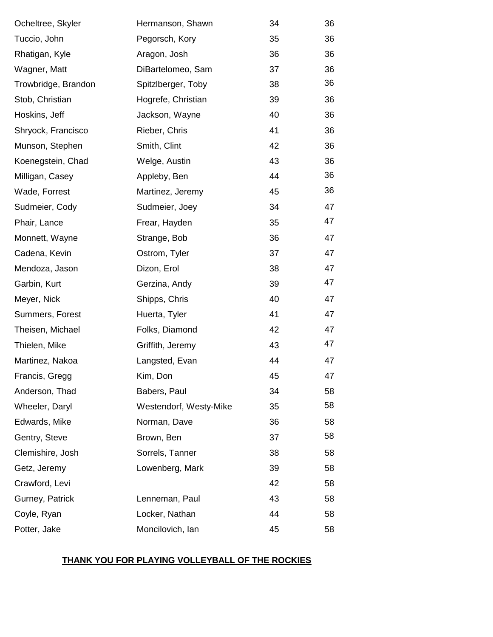| Ocheltree, Skyler   | Hermanson, Shawn       | 34 | 36 |
|---------------------|------------------------|----|----|
| Tuccio, John        | Pegorsch, Kory         | 35 | 36 |
| Rhatigan, Kyle      | Aragon, Josh           | 36 | 36 |
| Wagner, Matt        | DiBartelomeo, Sam      | 37 | 36 |
| Trowbridge, Brandon | Spitzlberger, Toby     | 38 | 36 |
| Stob, Christian     | Hogrefe, Christian     | 39 | 36 |
| Hoskins, Jeff       | Jackson, Wayne         | 40 | 36 |
| Shryock, Francisco  | Rieber, Chris          | 41 | 36 |
| Munson, Stephen     | Smith, Clint           | 42 | 36 |
| Koenegstein, Chad   | Welge, Austin          | 43 | 36 |
| Milligan, Casey     | Appleby, Ben           | 44 | 36 |
| Wade, Forrest       | Martinez, Jeremy       | 45 | 36 |
| Sudmeier, Cody      | Sudmeier, Joey         | 34 | 47 |
| Phair, Lance        | Frear, Hayden          | 35 | 47 |
| Monnett, Wayne      | Strange, Bob           | 36 | 47 |
| Cadena, Kevin       | Ostrom, Tyler          | 37 | 47 |
| Mendoza, Jason      | Dizon, Erol            | 38 | 47 |
| Garbin, Kurt        | Gerzina, Andy          | 39 | 47 |
| Meyer, Nick         | Shipps, Chris          | 40 | 47 |
| Summers, Forest     | Huerta, Tyler          | 41 | 47 |
| Theisen, Michael    | Folks, Diamond         | 42 | 47 |
| Thielen, Mike       | Griffith, Jeremy       | 43 | 47 |
| Martinez, Nakoa     | Langsted, Evan         | 44 | 47 |
| Francis, Gregg      | Kim, Don               | 45 | 47 |
| Anderson, Thad      | Babers, Paul           | 34 | 58 |
| Wheeler, Daryl      | Westendorf, Westy-Mike | 35 | 58 |
| Edwards, Mike       | Norman, Dave           | 36 | 58 |
| Gentry, Steve       | Brown, Ben             | 37 | 58 |
| Clemishire, Josh    | Sorrels, Tanner        | 38 | 58 |
| Getz, Jeremy        | Lowenberg, Mark        | 39 | 58 |
| Crawford, Levi      |                        | 42 | 58 |
| Gurney, Patrick     | Lenneman, Paul         | 43 | 58 |
| Coyle, Ryan         | Locker, Nathan         | 44 | 58 |
| Potter, Jake        | Moncilovich, lan       | 45 | 58 |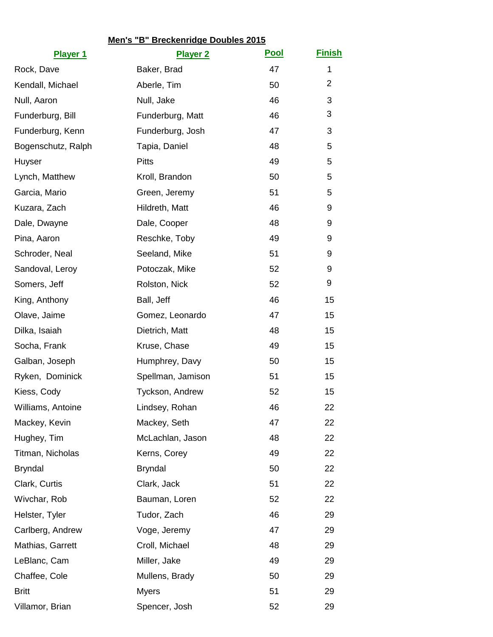|                    | Men's "B" Breckenridge Doubles 2015 |             |                |
|--------------------|-------------------------------------|-------------|----------------|
| <b>Player 1</b>    | <b>Player 2</b>                     | <b>Pool</b> | <b>Finish</b>  |
| Rock, Dave         | Baker, Brad                         | 47          | 1              |
| Kendall, Michael   | Aberle, Tim                         | 50          | $\overline{2}$ |
| Null, Aaron        | Null, Jake                          | 46          | 3              |
| Funderburg, Bill   | Funderburg, Matt                    | 46          | 3              |
| Funderburg, Kenn   | Funderburg, Josh                    | 47          | 3              |
| Bogenschutz, Ralph | Tapia, Daniel                       | 48          | 5              |
| Huyser             | <b>Pitts</b>                        | 49          | 5              |
| Lynch, Matthew     | Kroll, Brandon                      | 50          | 5              |
| Garcia, Mario      | Green, Jeremy                       | 51          | 5              |
| Kuzara, Zach       | Hildreth, Matt                      | 46          | 9              |
| Dale, Dwayne       | Dale, Cooper                        | 48          | 9              |
| Pina, Aaron        | Reschke, Toby                       | 49          | 9              |
| Schroder, Neal     | Seeland, Mike                       | 51          | 9              |
| Sandoval, Leroy    | Potoczak, Mike                      | 52          | 9              |
| Somers, Jeff       | Rolston, Nick                       | 52          | 9              |
| King, Anthony      | Ball, Jeff                          | 46          | 15             |
| Olave, Jaime       | Gomez, Leonardo                     | 47          | 15             |
| Dilka, Isaiah      | Dietrich, Matt                      | 48          | 15             |
| Socha, Frank       | Kruse, Chase                        | 49          | 15             |
| Galban, Joseph     | Humphrey, Davy                      | 50          | 15             |
| Ryken, Dominick    | Spellman, Jamison                   | 51          | 15             |
| Kiess, Cody        | Tyckson, Andrew                     | 52          | 15             |
| Williams, Antoine  | Lindsey, Rohan                      | 46          | 22             |
| Mackey, Kevin      | Mackey, Seth                        | 47          | 22             |
| Hughey, Tim        | McLachlan, Jason                    | 48          | 22             |
| Titman, Nicholas   | Kerns, Corey                        | 49          | 22             |
| <b>Bryndal</b>     | <b>Bryndal</b>                      | 50          | 22             |
| Clark, Curtis      | Clark, Jack                         | 51          | 22             |
| Wivchar, Rob       | Bauman, Loren                       | 52          | 22             |
| Helster, Tyler     | Tudor, Zach                         | 46          | 29             |
| Carlberg, Andrew   | Voge, Jeremy                        | 47          | 29             |
| Mathias, Garrett   | Croll, Michael                      | 48          | 29             |
| LeBlanc, Cam       | Miller, Jake                        | 49          | 29             |
| Chaffee, Cole      | Mullens, Brady                      | 50          | 29             |
| <b>Britt</b>       | <b>Myers</b>                        | 51          | 29             |
| Villamor, Brian    | Spencer, Josh                       | 52          | 29             |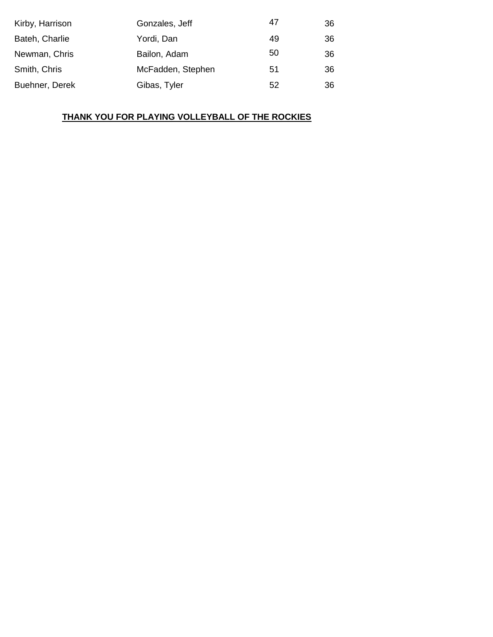| Kirby, Harrison | Gonzales, Jeff    | 47 | 36 |
|-----------------|-------------------|----|----|
| Bateh, Charlie  | Yordi, Dan        | 49 | 36 |
| Newman, Chris   | Bailon, Adam      | 50 | 36 |
| Smith, Chris    | McFadden, Stephen | 51 | 36 |
| Buehner, Derek  | Gibas, Tyler      | 52 | 36 |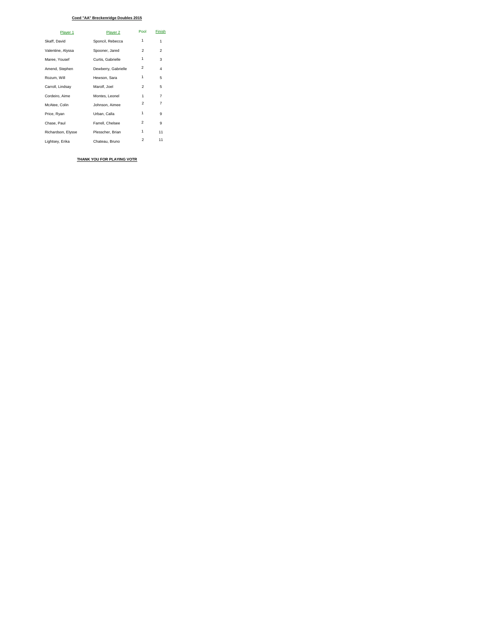#### **Coed "AA" Breckenridge Doubles 2015**

| Player 1           | Player 2            | Pool           | Finish         |
|--------------------|---------------------|----------------|----------------|
| Skaff, David       | Sponcil, Rebecca    | 1              | 1              |
| Valentine, Alyssa  | Spooner, Jared      | $\overline{2}$ | 2              |
| Maree, Yousef      | Curtis, Gabrielle   | 1              | 3              |
| Amend, Stephen     | Dewberry, Gabrielle | 2              | 4              |
| Rozum, Will        | Hewson, Sara        | 1              | 5              |
| Carroll, Lindsay   | Marolf, Joel        | $\mathfrak{p}$ | 5              |
| Cordeiro, Aime     | Montes, Leonel      | 1              | $\overline{7}$ |
| McAtee, Colin      | Johnson, Aimee      | 2              | 7              |
| Price, Ryan        | Urban, Calla        | 1              | 9              |
| Chase, Paul        | Farrell, Chelsee    | 2              | 9              |
| Richardson, Elysse | Plesscher, Brian    | 1              | 11             |
| Lightsey, Erika    | Chateau, Bruno      | $\overline{2}$ | 11             |

**THANK YOU FOR PLAYING VOTR**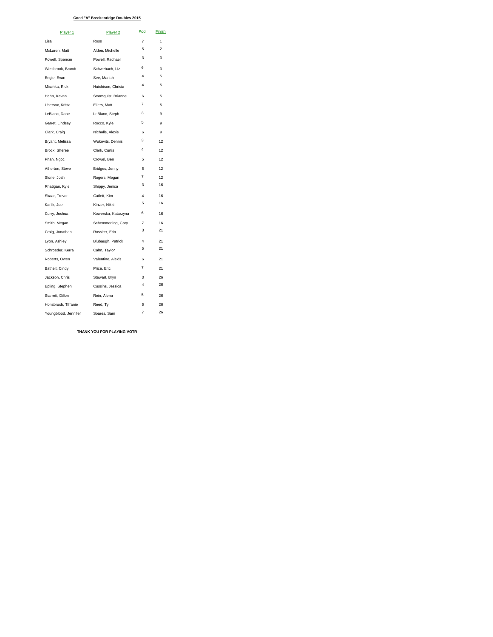#### **Coed "A" Breckenridge Doubles 2015**

| Player 1             | Player <sub>2</sub> | Pool           | <b>Finish</b>  |
|----------------------|---------------------|----------------|----------------|
| Lisa                 | Ross                | $\overline{7}$ | 1              |
| McLaren, Matt        | Alden, Michelle     | 5              | $\mathfrak{p}$ |
| Powell, Spencer      | Powell, Rachael     | 3              | 3              |
| Westbrook, Brandt    | Schwebach, Liz      | 6              | 3              |
| Engle, Evan          | See, Mariah         | $\overline{4}$ | 5              |
| Mischka, Rick        | Hutchison, Christa  | $\overline{4}$ | 5              |
| Hahn, Kavan          | Stromquist, Brianne | 6              | 5              |
| Ubersox, Krista      | Eilers, Matt        | $\overline{7}$ | 5              |
| LeBlanc, Dane        | LeBlanc, Steph      | 3              | 9              |
| Garret, Lindsey      | Rocco, Kyle         | 5              | 9              |
| Clark, Craig         | Nicholls, Alexis    | 6              | 9              |
| Bryant, Melissa      | Wukovits, Dennis    | 3              | 12             |
| Brock, Sheree        | Clark, Curtis       | 4              | 12             |
| Phan, Ngoc           | Crowel, Ben         | 5              | 12             |
| Atherton, Steve      | Bridges, Jenny      | 6              | 12             |
| Slone, Josh          | Rogers, Megan       | $\overline{7}$ | 12             |
| Rhatigan, Kyle       | Shippy, Jenica      | 3              | 16             |
| Skaar, Trevor        | Catlett, Kim        | $\overline{4}$ | 16             |
| Karlik, Joe          | Kinzer, Nikki       | 5              | 16             |
| Curry, Joshua        | Kowerska, Katarzyna | 6              | 16             |
| Smith, Megan         | Schemmerling, Gary  | $\overline{7}$ | 16             |
| Craig, Jonathan      | Rossiter, Erin      | 3              | 21             |
| Lyon, Ashley         | Blubaugh, Patrick   | $\overline{4}$ | 21             |
| Schroeder, Kerra     | Cahn, Taylor        | 5              | 21             |
| Roberts, Owen        | Valentine, Alexis   | 6              | 21             |
| Bathelt, Cindy       | Price, Eric         | 7              | 21             |
| Jackson, Chris       | Stewart, Bryn       | 3              | 26             |
| Epling, Stephen      | Cussins, Jessica    | $\overline{4}$ | 26             |
| Starrett, Dillon     | Rein, Alena         | 5              | 26             |
| Honsbruch, Tiffanie  | Reed, Ty            | 6              | 26             |
| Youngblood, Jennifer | Soares, Sam         | $\overline{7}$ | 26             |

**THANK YOU FOR PLAYING VOTR**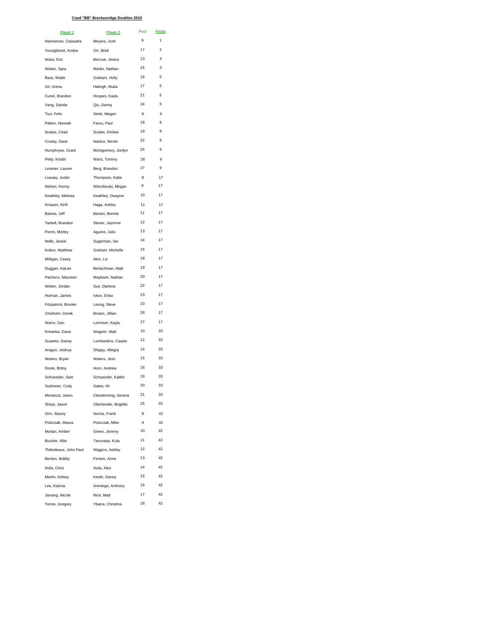#### **Coed "BB" Breckenridge Doubles 2015**

| Player 1              | Player 2             | Pool | Finish         |
|-----------------------|----------------------|------|----------------|
| Hanneman, Cassadra    | Meyers, Josh         | 9    | 1              |
| Youngblood, Andee     | Orr, Brett           | 17   | $\mathfrak{p}$ |
| Wass, Eric            | Beccue, Jesica       | 13   | 3              |
| Weber, Sara           | Martin, Nathan       | 24   | 3              |
| Bass, Wade            | Graham, Holly        | 16   | 5              |
| Gil, Urena            | Haleigh, Muka        | 17   | 5              |
| Curiel, Brandon       | Hoopes, Kayla        | 21   | 5              |
| Vang, Samiie          | Qiu, Danny           | 24   | 5              |
| Tsui, Felix           | Streb, Megan         | 8    | 9              |
| Patton, Hannah        | Farus, Paul          | 18   | 9              |
| Scates, Chad          | Scates, Emilee       | 19   | 9              |
| Crosby, Dave          | Naidus, Nicole       | 22   | 9              |
| Humphryes, Grant      | Montgomery, Jordyn   | 25   | 9              |
| Petty, Kristin        | Ward, Tommy          | 26   | 9              |
| Lessner, Lauren       | Berg, Brandon        | 27   | 9              |
| Livesay, Justin       | Thompson, Katie      | 8    | 17             |
| Nelson, Kenny         | Wierzbiuski, Megan   | 9    | 17             |
| Keathley, Melissa     | Keathley, Dwayne     | 10   | 17             |
| Kniazev, Kirill       | Haga, Ashley         | 11   | 17             |
| Baines, Jeff          | Baines, Bonnie       | 11   | 17             |
| Tarbell, Brandon      | Stoner, Jazmine      | 12   | 17             |
| Perrin, Morley        | Aguirre, Julio       | 13   | 17             |
| Nolle, Jessie         | Sugerman, lan        | 14   | 17             |
| Koltun, Matthew       | Graham, Michelle     | 15   | 17             |
| Milligan, Casey       | Akin, Liz            | 18   | 17             |
| Duggan, KaLee         | Bertschman, Matt     | 19   | 17             |
| Pacheco, Maureen      | Mayback, Nathan      | 20   | 17             |
| Weber, Jordan         | Sue, Darlene         | 22   | 17             |
| Holman, James         | Ivkov, Erika         | 23   | 17             |
| Fitzpatrick, Brooke   | Leong, Steve         | 23   | 17             |
| Chisholm, Derek       | Bruton, Jillian      | 26   | 17             |
| Warro, Dan            | Lommori, Kayla       | 27   | 17             |
| Krivanka, Dana        | Wagner, Matt         | 10   | 33             |
| Susanto, Danny        | Lombardino, Cassie   | 12   | 33             |
| Aragon, Joshua        | Shippy, Allegra      | 14   | 33             |
| Waters, Bryan         | Waters, Jess         | 15   | 33             |
| Doole, Britny         | Horn, Andrew         | 16   | 33             |
| Schuessler, Sam       | Schuessler, Kaitlin  | 19   | 33             |
| Sudmeier, Cody        | Gates, Ali           | 20   | 33             |
| Mendoza, Jason        | Clendenning, Serena  | 21   | 33             |
| Sharp, Jason          | Oberlander, Brigette | 25   | 33             |
| Orin, Stacey          | Socha, Frank         | 8    | 42             |
| Potoczak, Maura       | Potoczak, Mike       | 9    | 42             |
| Morlan, Amber         | Green, Jeremy        | 10   | 42             |
| Buckler, Allie        | Tanuvasa, Kula       | 11   | 42             |
| Thibodeaux, John Paul | Wiggins, Ashley      | 12   | 42             |
| Benton, Bobby         | Fenton, Anne         | 13   | 42             |
| Avila, Chris          | Avila, Alex          | 14   | 42             |
| Martin, Kelsey        | Keeth, Danny         | 15   | 42             |
| Lee, Kianna           | Areniego, Anthony    | 16   | 42             |
| Jansing, Nicole       | Rice, Matt           | 17   | 42             |
| Torres, Gregory       | Ybarra, Christina    | 18   | 42             |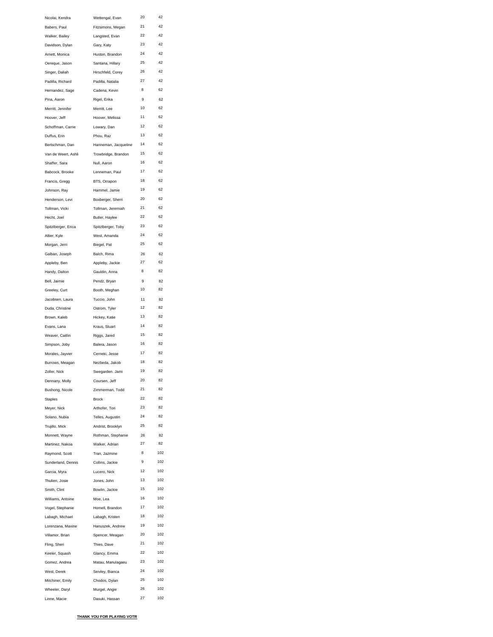| Nicolai, Kendra     | Wettengal, Evan      | 20 | 42  |
|---------------------|----------------------|----|-----|
| Babers, Paul        | Fitzsimons, Megan    | 21 | 42  |
| Walker, Bailey      | Langsted, Evan       | 22 | 42  |
| Davidson, Dylan     | Gary, Katy           | 23 | 42  |
| Arnett, Monica      | Huston, Brandon      | 24 | 42  |
| Oereque, Jason      | Santana, Hillary     | 25 | 42  |
| Singer, Daliah      | Hirschfeld, Corey    | 26 | 42  |
| Padilla, Richard    | Padilla, Natalia     | 27 | 42  |
| Hernandez, Sage     | Cadena, Kevin        | 8  | 62  |
| Pina, Aaron         | Rigel, Erika         | 9  | 62  |
| Merritt, Jennifer   | Merritt, Lee         | 10 | 62  |
| Hoover, Jeff        | Hoover, Melissa      | 11 | 62  |
| Schoffman, Carrie   | Lowary, Dan          | 12 | 62  |
| Duffus, Erin        | Phou, Raz            | 13 | 62  |
| Bertschman, Dan     | Hanneman, Jacqueline | 14 | 62  |
| Van de Weert, Ashli | Trowbridge, Brandon  | 15 | 62  |
| Shaffer, Sara       | Null, Aaron          | 16 | 62  |
| Babcock, Brooke     | Lenneman, Paul       | 17 | 62  |
| Francis, Gregg      | BTS, Orrapon         | 18 | 62  |
| Johnson, Ray        | Hammel, Jamie        | 19 | 62  |
| Henderson, Levi     | Boxberger, Sherri    | 20 | 62  |
| Tollman, Vicki      | Tollman, Jeremiah    | 21 | 62  |
| Hecht, Joel         | Butler, Haylee       | 22 | 62  |
| Spitzlberger, Erica | Spitzlberger, Toby   | 23 | 62  |
| Altier, Kyle        | West, Amanda         | 24 | 62  |
| Morgan, Jerri       | Biegel, Pat          | 25 | 62  |
| Galban, Joseph      | Balch, Rima          | 26 | 62  |
| Appleby, Ben        | Appleby, Jackie      | 27 | 62  |
| Handy, Dalton       | Gauldin, Anna        | 8  | 82  |
| Bell, Jaimie        | Pendz, Bryan         | 9  | 82  |
| Greeley, Curt       | Booth, Meghan        | 10 | 82  |
| Jacobsen, Laura     | Tuccio, John         | 11 | 82  |
| Duda, Christine     | Ostrom, Tyler        | 12 | 82  |
| Brown, Kaleb        | Hickey, Katie        | 13 | 82  |
| Evans, Lana         | Kraus, Stuart        | 14 | 82  |
| Weaver, Caitlin     | Riggs, Jared         | 15 | 82  |
| Simpson, Joby       | Balera, Jason        | 16 | 82  |
| Morales, Jayvier    | Cerneki, Jesse       | 17 | 82  |
| Burrows, Meagan     | Nezbeda, Jakob       | 18 | 82  |
| Zoller, Nick        | Swegarden. Jami      | 19 | 82  |
| Dennany, Molly      | Coursen, Jeff        | 20 | 82  |
| Bushong, Nicole     | Zimmerman, Todd      | 21 | 82  |
| <b>Staples</b>      | <b>Brock</b>         | 22 | 82  |
| Meyer, Nick         | Arthofer, Tori       | 23 | 82  |
| Solano, Nubia       | Telles, Augustin     | 24 | 82  |
| Trujillo, Mick      | Andrist, Brooklyn    | 25 | 82  |
| Monnett, Wayne      | Rothman, Stephanie   | 26 | 82  |
| Martinez, Nakoa     | Walker, Adrian       | 27 | 82  |
| Raymond, Scott      | Tran, Jazmine        | 8  | 102 |
| Sunderland, Dennis  | Collins, Jackie      | 9  | 102 |
| Garcia, Myra        | Lucero, Nick         | 12 | 102 |
| Thulien, Josie      | Jones, John          | 13 | 102 |
| Smith, Clint        | Bowlin, Jackie       | 15 | 102 |
| Williams, Antoine   | Moe, Lea             | 16 | 102 |
| Vogel, Stephanie    | Homell, Brandon      | 17 | 102 |
| Labagh, Michael     | Labagh, Kristen      | 18 | 102 |
| Lorenzana, Maxine   | Hanuszek, Andrew     | 19 | 102 |
| Villamor, Brian     | Spencer, Meagan      | 20 | 102 |
| Fling, Sheri        | Thies, Dave          | 21 | 102 |
| Keeler, Squash      | Glancy, Emma         | 22 | 102 |
| Gomez, Andrea       | Matau, Manulagaeu    | 23 | 102 |
| West, Derek         | Seivley, Bianca      | 24 | 102 |
| Mitchiner, Emily    | Chodos, Dylan        | 25 | 102 |
| Wheeler, Daryl      | Murgel, Angie        | 26 | 102 |
| Linne, Macie        | Dasuki, Hassan       | 27 | 102 |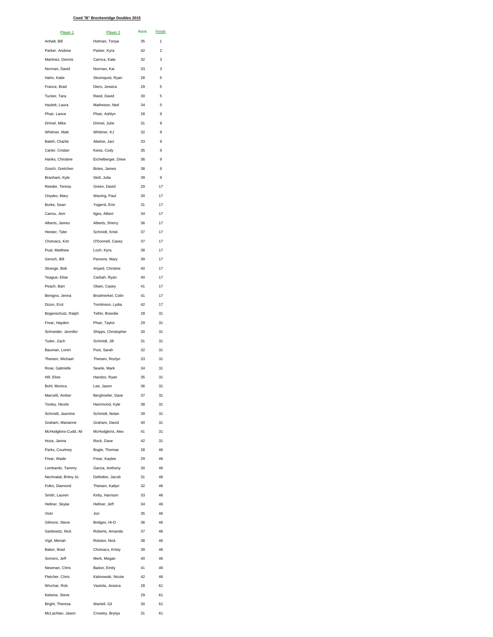#### **Coed "B" Breckenridge Doubles 2015**

| Player 1                         | Player <sub>2</sub>              | Rank     | Finish         |
|----------------------------------|----------------------------------|----------|----------------|
| Anhalt, Bill                     | Holman, Tonya                    | 35       | 1              |
| Parker, Andrew                   | Parker, Kyra                     | 42       | $\overline{c}$ |
| Martinez, Dennis                 | Carrica, Kate                    | 32       | 3              |
| Norman, David                    | Norman, Kai                      | 33       | 3              |
| Hahn, Katie                      | Stromquist, Ryan                 | 28       | 5              |
| France, Brad                     | Diers, Jessica                   | 29       | 5              |
| Tucker, Tara                     | Reed, David                      | 30       | 5              |
| Hazlett, Laura                   | Matheson, Ned                    | 34       | 5              |
| Phair, Lance                     | Phair, Ashlyn                    | 28       | 9              |
| Drimel, Mike                     | Drimel, Julie                    | 31       | 9              |
| Whitmer, Matt                    | Whitmer, KJ                      | 32       | 9              |
| Bateh, Charlie                   | Abeloe, Jaci                     | 33       | 9              |
| Carter, Cristan                  | Kiess, Cody                      | 35       | 9              |
| Hanks, Christine                 | Eichelberger, Drew               | 36       | 9              |
| Gosch, Gretchen                  | Boles, James                     | 38       | 9              |
| Branham, Kyle<br>Reeder, Teresa  | Stoll, Julia<br>Green, David     | 39<br>29 | 9<br>17        |
| Onysko, Mary                     |                                  | 30       | 17             |
|                                  | Waning, Paul                     |          |                |
| Burke, Sean<br>Cannu, Jem        | Yogerst, Erin<br>Ilges, Albert   | 31<br>34 | 17<br>17       |
| Alberts, James                   | Alberts, Sherry                  | 36       | 17             |
| Heister, Tyler                   | Schmidt, Kristi                  | 37       | 17             |
| Chotvacs, Kim                    | O'Donnell, Casey                 | 37       | 17             |
| Pual, Matthew                    | Loch, Kyra                       | 38       | 17             |
| Gersch, Bill                     | Parsons, Mary                    | 39       | 17             |
| Strange, Bob                     | Anjard, Chrstine                 | 40       | 17             |
| Teague, Elise                    | Carbah, Ryan                     | 40       | 17             |
| Peach, Bart                      | Olsen, Casey                     | 41       | 17             |
| Benigno, Jenna                   | Brodmerkel, Colin                | 41       | 17             |
| Dizon, Erol                      | Tomlinson, Lydia                 | 42       | 17             |
| Bogenschutz, Ralph               | Telfer, Brandie                  | 28       | 31             |
| Frear, Hayden                    | Phair, Taylor                    | 29       | 31             |
| Schneider, Jennifer              | Shipps, Christopher              | 30       | 31             |
| Tudor, Zach                      | Schmidt, Jill                    | 31       | 31             |
| Bauman, Loren                    | Post, Sarah                      | 32       | 31             |
| Theisen, Michael                 | Theisen, Rozlyn                  | 33       | 31             |
| Rose, Gabrielle                  | Searle, Mark                     | 34       | 31             |
| Hill, Elise                      | Handzo, Ryan                     | 35       | 31             |
| Bohl, Monica                     | Lee, Jason                       | 36       | 31             |
| Marcelli, Amber                  | Berghoefer, Dave                 | 37       | 31             |
| Tooley, Nicole                   | Hammond, Kyle                    | 38       | 31             |
| Schmidt, Jasmine                 | Schmidt, Nolan                   | 39       | 31             |
| Graham, Marianne                 | Graham, David                    | 40       | 31             |
| McHodgkins-Cudd, Ali             | McHodgkins, Alex                 | 41       | 31             |
| Hoza, Janna                      | Rock, Dave                       | 42       | 31             |
| Parks, Courtney                  | Bogle, Thomas                    | 28       | 46             |
| Frear, Wade                      | Frear, Kaylee                    | 29       | 46             |
| Lombardo, Tammy                  | Garcia, Anthony                  | 30       | 46             |
| Nechvatal, Britny Jo             | Dellettier, Jacob                | 31       | 46             |
| Folks, Diamond                   | Theisen, Katlyn                  | 32       | 46             |
| Smith, Lauren                    | Kirby, Harrison                  | 33       | 46             |
| Hellner, Skylar                  | Hellner, Jeff                    | 34       | 46             |
| Vicki                            | Jon                              | 35       | 46             |
| Gilmore, Steve                   | Bridges, Hi-D                    | 36       | 46             |
| Garbowitz, Nick<br>Vigil, Meriah | Roberts, Amanda<br>Rolston, Nick | 37<br>38 | 46<br>46       |
| Baker, Brad                      | Chotvacs, Kristy                 | 39       | 46             |
| Somers, Jeff                     | Merk, Megan                      | 40       | 46             |
| Newman, Chris                    | Bailon, Emily                    | 41       | 46             |
| Fletcher, Chris                  | Kalinowski, Nicole               | 42       | 46             |
| Wivchar, Rob                     | Vastola, Jessica                 | 28       | 61             |
| Kekene, Steve                    |                                  | 29       | 61             |
| Bright, Theresa                  | Wartell, Gil                     | 30       | 61             |
| McLachlan, Jason                 | Crowley, Brynja                  | 31       | 61             |